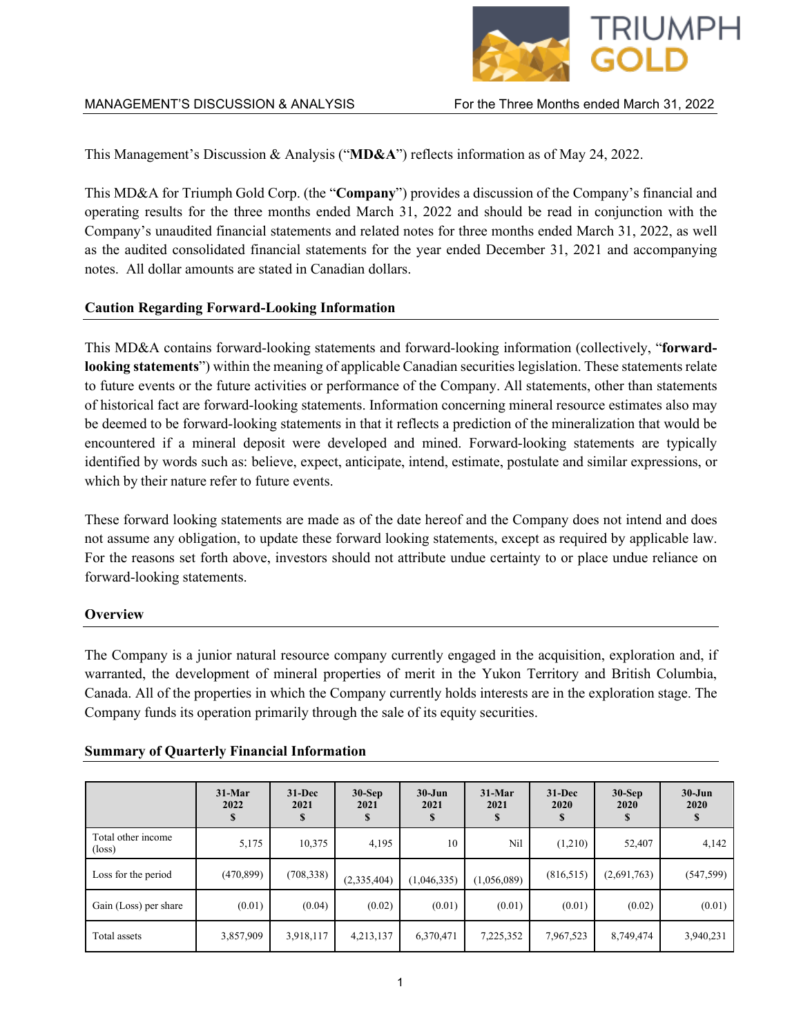

This Management's Discussion & Analysis ("**MD&A**") reflects information as of May 24, 2022.

This MD&A for Triumph Gold Corp. (the "**Company**") provides a discussion of the Company's financial and operating results for the three months ended March 31, 2022 and should be read in conjunction with the Company's unaudited financial statements and related notes for three months ended March 31, 2022, as well as the audited consolidated financial statements for the year ended December 31, 2021 and accompanying notes. All dollar amounts are stated in Canadian dollars.

## **Caution Regarding Forward-Looking Information**

This MD&A contains forward-looking statements and forward-looking information (collectively, "**forwardlooking statements**") within the meaning of applicable Canadian securities legislation. These statements relate to future events or the future activities or performance of the Company. All statements, other than statements of historical fact are forward-looking statements. Information concerning mineral resource estimates also may be deemed to be forward-looking statements in that it reflects a prediction of the mineralization that would be encountered if a mineral deposit were developed and mined. Forward-looking statements are typically identified by words such as: believe, expect, anticipate, intend, estimate, postulate and similar expressions, or which by their nature refer to future events.

These forward looking statements are made as of the date hereof and the Company does not intend and does not assume any obligation, to update these forward looking statements, except as required by applicable law. For the reasons set forth above, investors should not attribute undue certainty to or place undue reliance on forward-looking statements.

## **Overview**

The Company is a junior natural resource company currently engaged in the acquisition, exploration and, if warranted, the development of mineral properties of merit in the Yukon Territory and British Columbia, Canada. All of the properties in which the Company currently holds interests are in the exploration stage. The Company funds its operation primarily through the sale of its equity securities.

|                                       | $31-Mar$<br>2022 | $31 - Dec$<br>2021 | $30-Sep$<br>2021 | $30 - Jun$<br>2021 | $31-Mar$<br>2021 | $31 - Dec$<br>2020 | $30-Sep$<br>2020 | $30 - Jun$<br>2020 |
|---------------------------------------|------------------|--------------------|------------------|--------------------|------------------|--------------------|------------------|--------------------|
| Total other income<br>$(\text{loss})$ | 5,175            | 10,375             | 4,195            | 10                 | Nil              | (1,210)            | 52,407           | 4,142              |
| Loss for the period                   | (470, 899)       | (708, 338)         | (2,335,404)      | (1,046,335)        | (1,056,089)      | (816, 515)         | (2,691,763)      | (547, 599)         |
| Gain (Loss) per share                 | (0.01)           | (0.04)             | (0.02)           | (0.01)             | (0.01)           | (0.01)             | (0.02)           | (0.01)             |
| Total assets                          | 3,857,909        | 3,918,117          | 4,213,137        | 6,370,471          | 7,225,352        | 7,967,523          | 8,749,474        | 3,940,231          |

## **Summary of Quarterly Financial Information**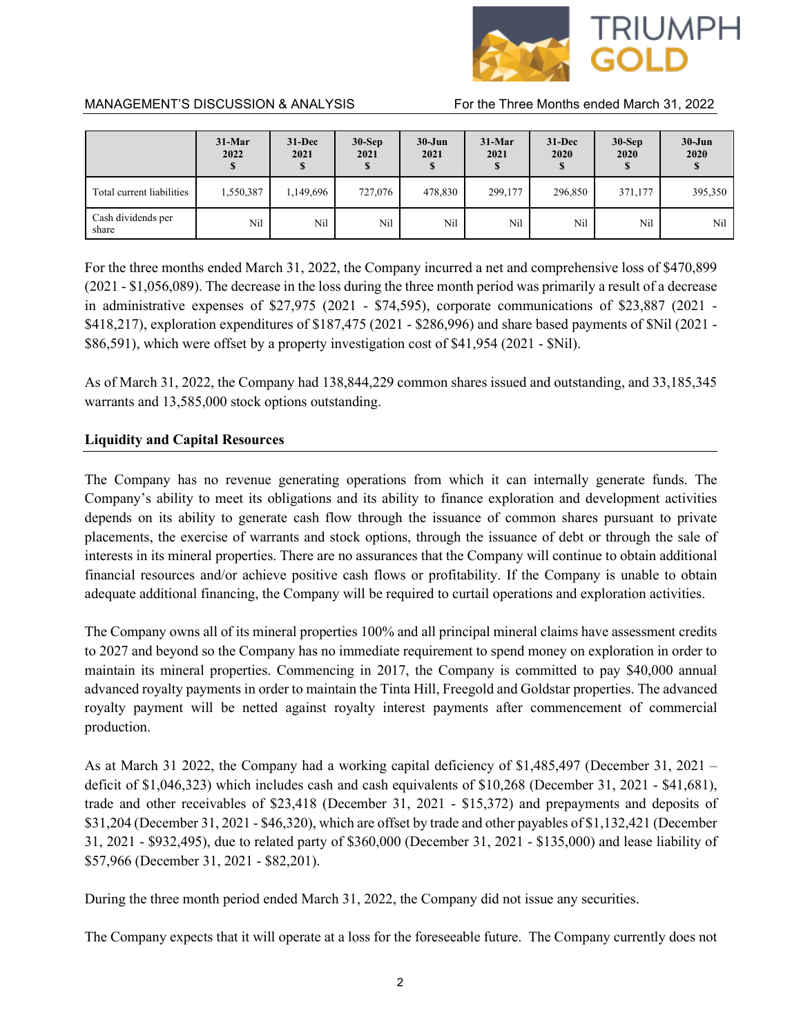

|                             | $31-Mar$<br>2022 | $31 - Dec$<br>2021 | $30-Sep$<br>2021<br>Ф | $30 - Jun$<br>2021<br>\$ | $31-Mar$<br>2021 | $31 - Dec$<br>2020 | $30-Sep$<br>2020 | $30 - Jun$<br>2020 |
|-----------------------------|------------------|--------------------|-----------------------|--------------------------|------------------|--------------------|------------------|--------------------|
| Total current liabilities   | 1,550,387        | 1,149,696          | 727,076               | 478,830                  | 299,177          | 296,850            | 371,177          | 395,350            |
| Cash dividends per<br>share | Nil              | Nil                | Nil                   | Nil                      | Nil              | Nil                | Nil              | Nil                |

For the three months ended March 31, 2022, the Company incurred a net and comprehensive loss of \$470,899 (2021 - \$1,056,089). The decrease in the loss during the three month period was primarily a result of a decrease in administrative expenses of \$27,975 (2021 - \$74,595), corporate communications of \$23,887 (2021 - \$418,217), exploration expenditures of \$187,475 (2021 - \$286,996) and share based payments of \$Nil (2021 - \$86,591), which were offset by a property investigation cost of \$41,954 (2021 - \$Nil).

As of March 31, 2022, the Company had 138,844,229 common shares issued and outstanding, and 33,185,345 warrants and 13,585,000 stock options outstanding.

## **Liquidity and Capital Resources**

The Company has no revenue generating operations from which it can internally generate funds. The Company's ability to meet its obligations and its ability to finance exploration and development activities depends on its ability to generate cash flow through the issuance of common shares pursuant to private placements, the exercise of warrants and stock options, through the issuance of debt or through the sale of interests in its mineral properties. There are no assurances that the Company will continue to obtain additional financial resources and/or achieve positive cash flows or profitability. If the Company is unable to obtain adequate additional financing, the Company will be required to curtail operations and exploration activities.

The Company owns all of its mineral properties 100% and all principal mineral claims have assessment credits to 2027 and beyond so the Company has no immediate requirement to spend money on exploration in order to maintain its mineral properties. Commencing in 2017, the Company is committed to pay \$40,000 annual advanced royalty payments in order to maintain the Tinta Hill, Freegold and Goldstar properties. The advanced royalty payment will be netted against royalty interest payments after commencement of commercial production.

As at March 31 2022, the Company had a working capital deficiency of \$1,485,497 (December 31, 2021 – deficit of \$1,046,323) which includes cash and cash equivalents of \$10,268 (December 31, 2021 - \$41,681), trade and other receivables of \$23,418 (December 31, 2021 - \$15,372) and prepayments and deposits of \$31,204 (December 31, 2021 - \$46,320), which are offset by trade and other payables of \$1,132,421 (December 31, 2021 - \$932,495), due to related party of \$360,000 (December 31, 2021 - \$135,000) and lease liability of \$57,966 (December 31, 2021 - \$82,201).

During the three month period ended March 31, 2022, the Company did not issue any securities.

The Company expects that it will operate at a loss for the foreseeable future. The Company currently does not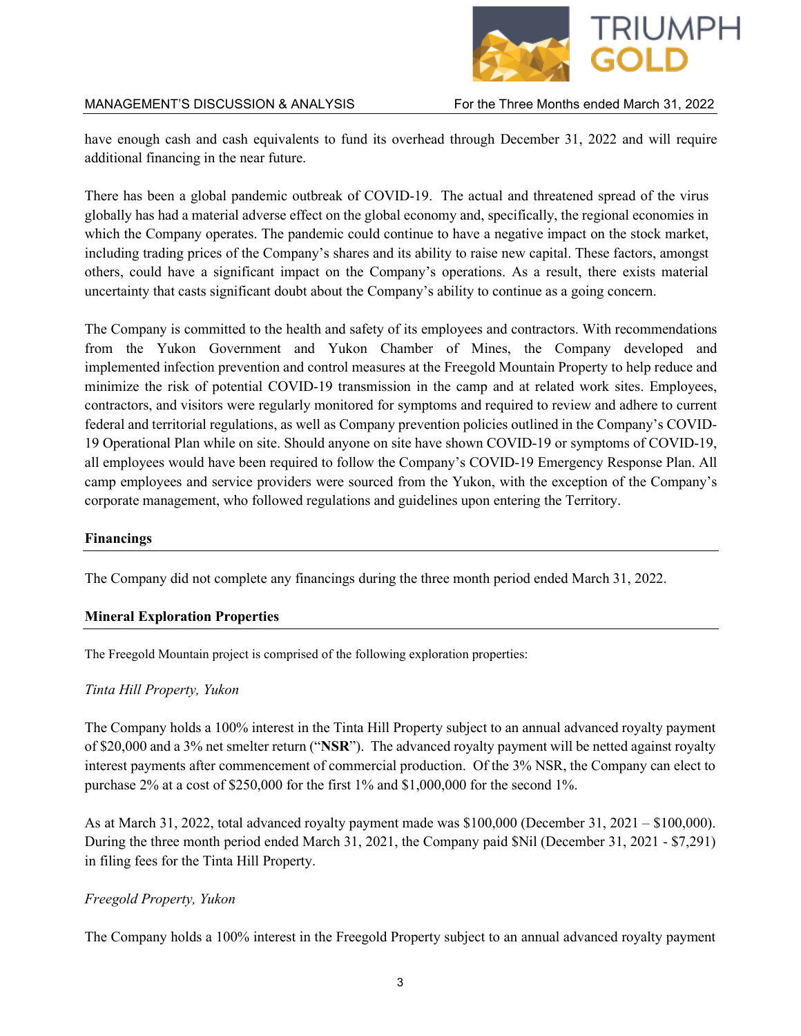

have enough cash and cash equivalents to fund its overhead through December 31, 2022 and will require additional financing in the near future.

There has been a global pandemic outbreak of COVID-19. The actual and threatened spread of the virus globally has had a material adverse effect on the global economy and, specifically, the regional economies in which the Company operates. The pandemic could continue to have a negative impact on the stock market, including trading prices of the Company's shares and its ability to raise new capital. These factors, amongst others, could have a significant impact on the Company's operations. As a result, there exists material uncertainty that casts significant doubt about the Company's ability to continue as a going concern.

The Company is committed to the health and safety of its employees and contractors. With recommendations from the Yukon Government and Yukon Chamber of Mines, the Company developed and implemented infection prevention and control measures at the Freegold Mountain Property to help reduce and minimize the risk of potential COVID-19 transmission in the camp and at related work sites. Employees, contractors, and visitors were regularly monitored for symptoms and required to review and adhere to current federal and territorial regulations, as well as Company prevention policies outlined in the Company's COVID-19 Operational Plan while on site. Should anyone on site have shown COVID-19 or symptoms of COVID-19, all employees would have been required to follow the Company's COVID-19 Emergency Response Plan. All camp employees and service providers were sourced from the Yukon, with the exception of the Company's corporate management, who followed regulations and guidelines upon entering the Territory.

# **Financings**

The Company did not complete any financings during the three month period ended March 31, 2022.

## **Mineral Exploration Properties**

The Freegold Mountain project is comprised of the following exploration properties:

## *Tinta Hill Property, Yukon*

The Company holds a 100% interest in the Tinta Hill Property subject to an annual advanced royalty payment of \$20,000 and a 3% net smelter return ("**NSR**"). The advanced royalty payment will be netted against royalty interest payments after commencement of commercial production. Of the 3% NSR, the Company can elect to purchase 2% at a cost of \$250,000 for the first 1% and \$1,000,000 for the second 1%.

As at March 31, 2022, total advanced royalty payment made was \$100,000 (December 31, 2021 – \$100,000). During the three month period ended March 31, 2021, the Company paid \$Nil (December 31, 2021 - \$7,291) in filing fees for the Tinta Hill Property.

# *Freegold Property, Yukon*

The Company holds a 100% interest in the Freegold Property subject to an annual advanced royalty payment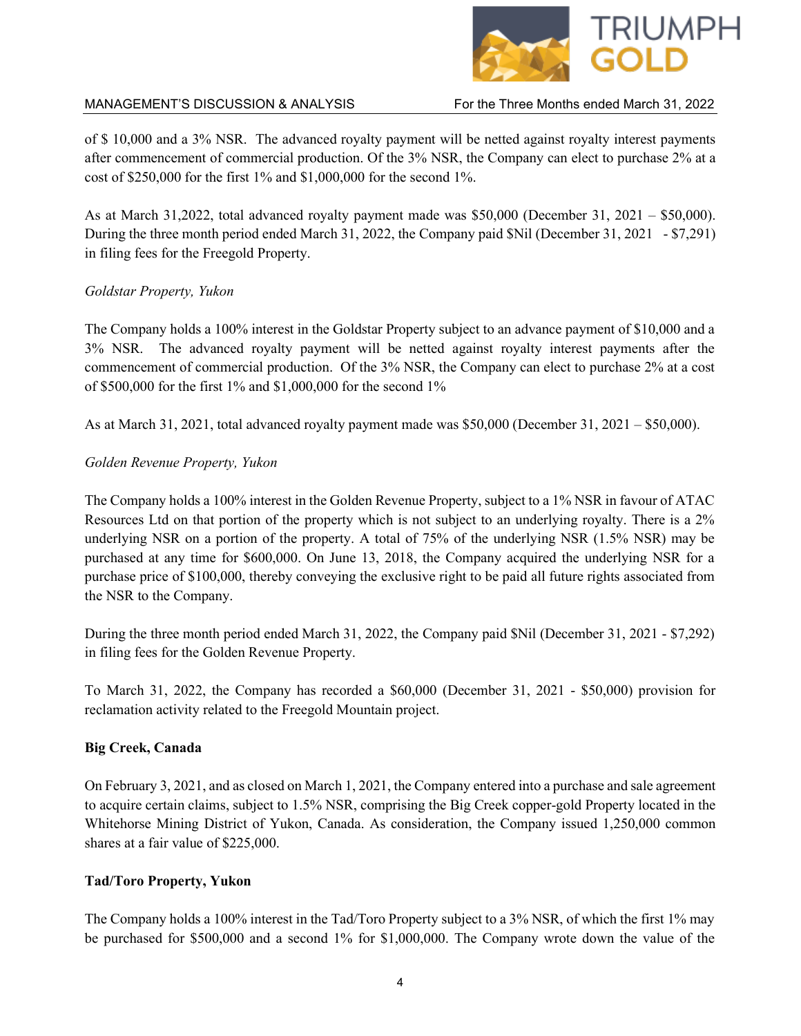

of \$ 10,000 and a 3% NSR. The advanced royalty payment will be netted against royalty interest payments after commencement of commercial production. Of the 3% NSR, the Company can elect to purchase 2% at a cost of \$250,000 for the first 1% and \$1,000,000 for the second 1%.

As at March 31,2022, total advanced royalty payment made was \$50,000 (December 31, 2021 – \$50,000). During the three month period ended March 31, 2022, the Company paid \$Nil (December 31, 2021 - \$7,291) in filing fees for the Freegold Property.

## *Goldstar Property, Yukon*

The Company holds a 100% interest in the Goldstar Property subject to an advance payment of \$10,000 and a 3% NSR. The advanced royalty payment will be netted against royalty interest payments after the commencement of commercial production. Of the 3% NSR, the Company can elect to purchase 2% at a cost of \$500,000 for the first 1% and \$1,000,000 for the second 1%

As at March 31, 2021, total advanced royalty payment made was \$50,000 (December 31, 2021 – \$50,000).

## *Golden Revenue Property, Yukon*

The Company holds a 100% interest in the Golden Revenue Property, subject to a 1% NSR in favour of ATAC Resources Ltd on that portion of the property which is not subject to an underlying royalty. There is a 2% underlying NSR on a portion of the property. A total of 75% of the underlying NSR (1.5% NSR) may be purchased at any time for \$600,000. On June 13, 2018, the Company acquired the underlying NSR for a purchase price of \$100,000, thereby conveying the exclusive right to be paid all future rights associated from the NSR to the Company.

During the three month period ended March 31, 2022, the Company paid \$Nil (December 31, 2021 - \$7,292) in filing fees for the Golden Revenue Property.

To March 31, 2022, the Company has recorded a \$60,000 (December 31, 2021 - \$50,000) provision for reclamation activity related to the Freegold Mountain project.

# **Big Creek, Canada**

On February 3, 2021, and as closed on March 1, 2021, the Company entered into a purchase and sale agreement to acquire certain claims, subject to 1.5% NSR, comprising the Big Creek copper-gold Property located in the Whitehorse Mining District of Yukon, Canada. As consideration, the Company issued 1,250,000 common shares at a fair value of \$225,000.

# **Tad/Toro Property, Yukon**

The Company holds a 100% interest in the Tad/Toro Property subject to a 3% NSR, of which the first 1% may be purchased for \$500,000 and a second 1% for \$1,000,000. The Company wrote down the value of the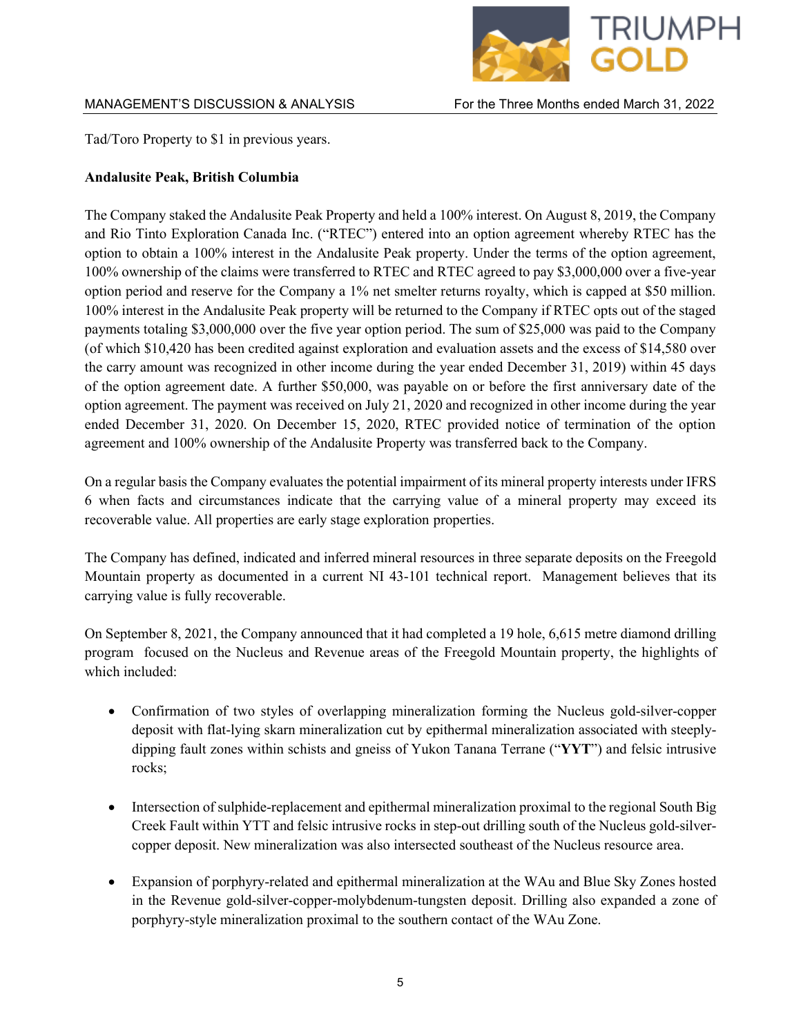

Tad/Toro Property to \$1 in previous years.

# **Andalusite Peak, British Columbia**

The Company staked the Andalusite Peak Property and held a 100% interest. On August 8, 2019, the Company and Rio Tinto Exploration Canada Inc. ("RTEC") entered into an option agreement whereby RTEC has the option to obtain a 100% interest in the Andalusite Peak property. Under the terms of the option agreement, 100% ownership of the claims were transferred to RTEC and RTEC agreed to pay \$3,000,000 over a five-year option period and reserve for the Company a 1% net smelter returns royalty, which is capped at \$50 million. 100% interest in the Andalusite Peak property will be returned to the Company if RTEC opts out of the staged payments totaling \$3,000,000 over the five year option period. The sum of \$25,000 was paid to the Company (of which \$10,420 has been credited against exploration and evaluation assets and the excess of \$14,580 over the carry amount was recognized in other income during the year ended December 31, 2019) within 45 days of the option agreement date. A further \$50,000, was payable on or before the first anniversary date of the option agreement. The payment was received on July 21, 2020 and recognized in other income during the year ended December 31, 2020. On December 15, 2020, RTEC provided notice of termination of the option agreement and 100% ownership of the Andalusite Property was transferred back to the Company.

On a regular basis the Company evaluates the potential impairment of its mineral property interests under IFRS 6 when facts and circumstances indicate that the carrying value of a mineral property may exceed its recoverable value. All properties are early stage exploration properties.

The Company has defined, indicated and inferred mineral resources in three separate deposits on the Freegold Mountain property as documented in a current NI 43-101 technical report. Management believes that its carrying value is fully recoverable.

On September 8, 2021, the Company announced that it had completed a 19 hole, 6,615 metre diamond drilling program focused on the Nucleus and Revenue areas of the Freegold Mountain property, the highlights of which included:

- Confirmation of two styles of overlapping mineralization forming the Nucleus gold-silver-copper deposit with flat-lying skarn mineralization cut by epithermal mineralization associated with steeplydipping fault zones within schists and gneiss of Yukon Tanana Terrane ("**YYT**") and felsic intrusive rocks;
- Intersection of sulphide-replacement and epithermal mineralization proximal to the regional South Big Creek Fault within YTT and felsic intrusive rocks in step-out drilling south of the Nucleus gold-silvercopper deposit. New mineralization was also intersected southeast of the Nucleus resource area.
- Expansion of porphyry-related and epithermal mineralization at the WAu and Blue Sky Zones hosted in the Revenue gold-silver-copper-molybdenum-tungsten deposit. Drilling also expanded a zone of porphyry-style mineralization proximal to the southern contact of the WAu Zone.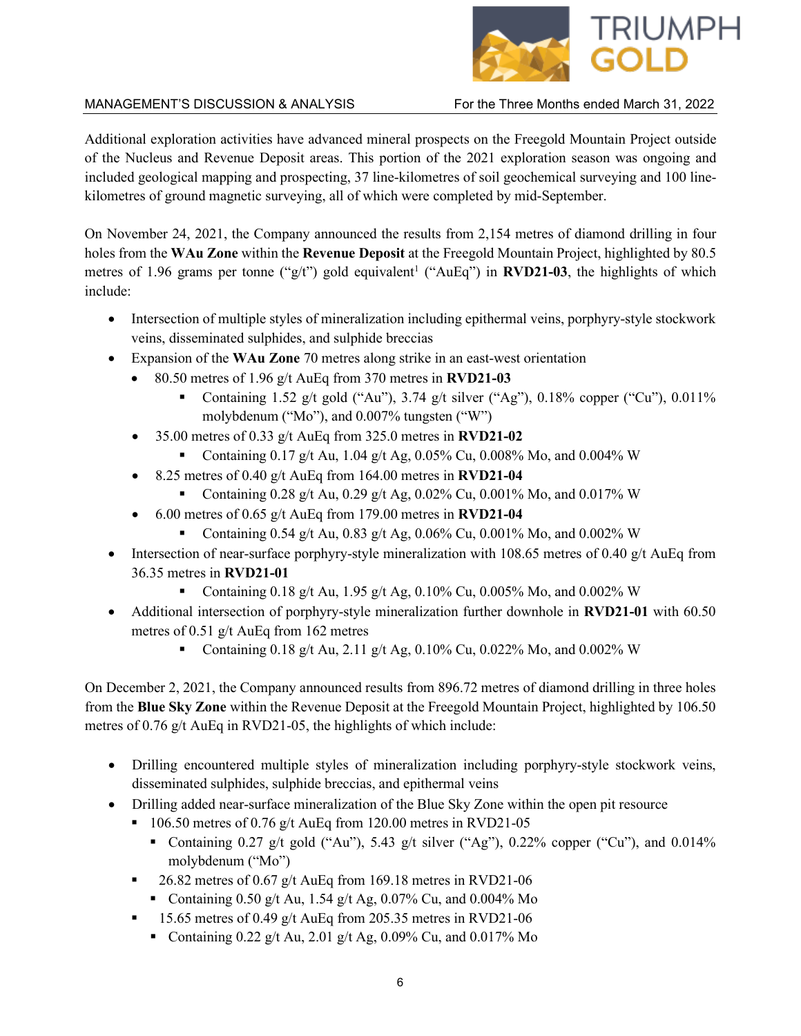

Additional exploration activities have advanced mineral prospects on the Freegold Mountain Project outside of the Nucleus and Revenue Deposit areas. This portion of the 2021 exploration season was ongoing and included geological mapping and prospecting, 37 line-kilometres of soil geochemical surveying and 100 linekilometres of ground magnetic surveying, all of which were completed by mid-September.

On November 24, 2021, the Company announced the results from 2,154 metres of diamond drilling in four holes from the **WAu Zone** within the **Revenue Deposit** at the Freegold Mountain Project, highlighted by 80.5 metres of 1.96 grams per tonne ("g/t") gold equivalent<sup>1</sup> ("AuEq") in **RVD21-03**, the highlights of which include:

- Intersection of multiple styles of mineralization including epithermal veins, porphyry-style stockwork veins, disseminated sulphides, and sulphide breccias
- Expansion of the **WAu Zone** 70 metres along strike in an east-west orientation
	- 80.50 metres of 1.96 g/t AuEq from 370 metres in **RVD21-03**
		- Containing 1.52 g/t gold ("Au"), 3.74 g/t silver ("Ag"), 0.18% copper ("Cu"), 0.011% molybdenum ("Mo"), and 0.007% tungsten ("W")
	- 35.00 metres of 0.33 g/t AuEq from 325.0 metres in **RVD21-02**
		- Containing 0.17 g/t Au, 1.04 g/t Ag, 0.05% Cu, 0.008% Mo, and 0.004% W
	- 8.25 metres of 0.40 g/t AuEq from 164.00 metres in **RVD21-04**
		- Containing 0.28 g/t Au, 0.29 g/t Ag, 0.02% Cu, 0.001% Mo, and 0.017% W
		- 6.00 metres of 0.65 g/t AuEq from 179.00 metres in **RVD21-04**
			- Containing 0.54 g/t Au, 0.83 g/t Ag, 0.06% Cu, 0.001% Mo, and 0.002% W
- Intersection of near-surface porphyry-style mineralization with 108.65 metres of 0.40 g/t AuEq from 36.35 metres in **RVD21-01**
	- Containing 0.18 g/t Au, 1.95 g/t Ag, 0.10% Cu, 0.005% Mo, and 0.002% W
- Additional intersection of porphyry-style mineralization further downhole in **RVD21-01** with 60.50 metres of 0.51 g/t AuEq from 162 metres
	- Containing 0.18 g/t Au, 2.11 g/t Ag, 0.10% Cu, 0.022% Mo, and 0.002% W

On December 2, 2021, the Company announced results from 896.72 metres of diamond drilling in three holes from the **Blue Sky Zone** within the Revenue Deposit at the Freegold Mountain Project, highlighted by 106.50 metres of 0.76 g/t AuEq in RVD21-05, the highlights of which include:

- Drilling encountered multiple styles of mineralization including porphyry-style stockwork veins, disseminated sulphides, sulphide breccias, and epithermal veins
- Drilling added near-surface mineralization of the Blue Sky Zone within the open pit resource
	- $106.50$  metres of 0.76 g/t AuEq from 120.00 metres in RVD21-05
		- Containing  $0.27$  g/t gold ("Au"), 5.43 g/t silver ("Ag"),  $0.22\%$  copper ("Cu"), and  $0.014\%$ molybdenum ("Mo")
	- $\blacksquare$  26.82 metres of 0.67 g/t AuEq from 169.18 metres in RVD21-06
		- Containing 0.50 g/t Au, 1.54 g/t Ag, 0.07% Cu, and 0.004% Mo
	- $\blacksquare$  15.65 metres of 0.49 g/t AuEq from 205.35 metres in RVD21-06
		- Containing 0.22 g/t Au, 2.01 g/t Ag, 0.09% Cu, and 0.017% Mo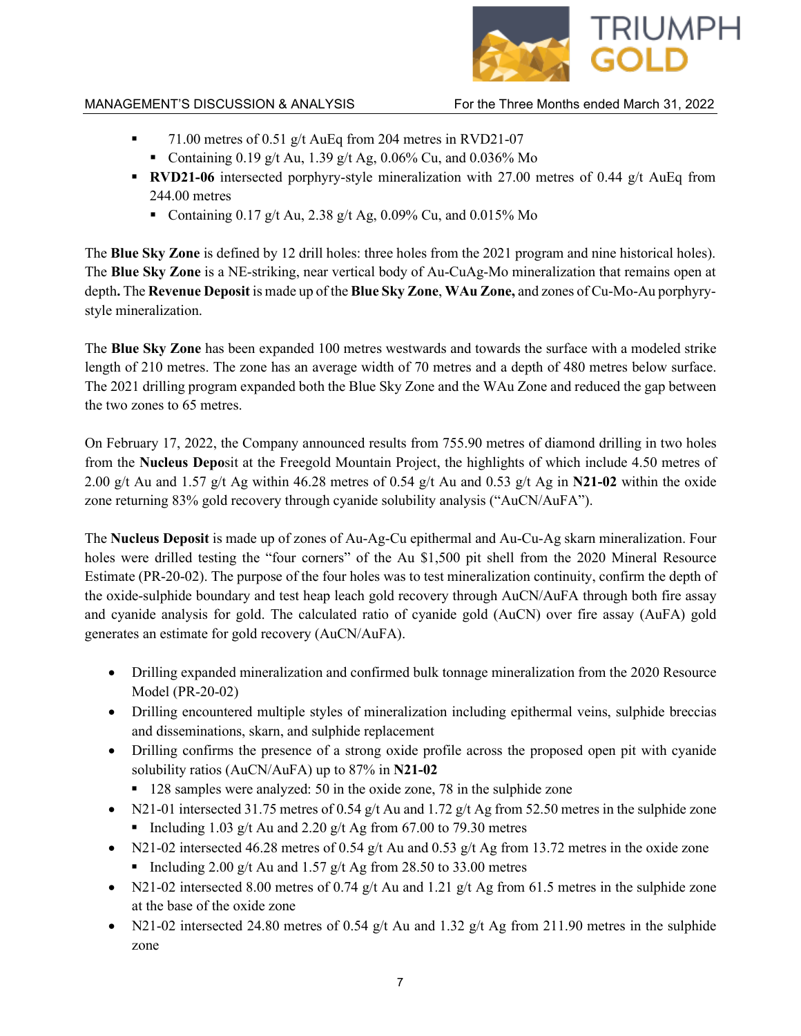

- $\blacksquare$  71.00 metres of 0.51 g/t AuEq from 204 metres in RVD21-07
	- Containing 0.19 g/t Au, 1.39 g/t Ag, 0.06% Cu, and 0.036% Mo
- **RVD21-06** intersected porphyry-style mineralization with 27.00 metres of 0.44 g/t AuEq from 244.00 metres
	- Containing 0.17 g/t Au, 2.38 g/t Ag, 0.09% Cu, and 0.015% Mo

The **Blue Sky Zone** is defined by 12 drill holes: three holes from the 2021 program and nine historical holes). The **Blue Sky Zone** is a NE-striking, near vertical body of Au-CuAg-Mo mineralization that remains open at depth**.** The **Revenue Deposit** is made up of the **Blue Sky Zone**, **WAu Zone,** and zones of Cu-Mo-Au porphyrystyle mineralization.

The **Blue Sky Zone** has been expanded 100 metres westwards and towards the surface with a modeled strike length of 210 metres. The zone has an average width of 70 metres and a depth of 480 metres below surface. The 2021 drilling program expanded both the Blue Sky Zone and the WAu Zone and reduced the gap between the two zones to 65 metres.

On February 17, 2022, the Company announced results from 755.90 metres of diamond drilling in two holes from the **Nucleus Depo**sit at the Freegold Mountain Project, the highlights of which include 4.50 metres of 2.00 g/t Au and 1.57 g/t Ag within 46.28 metres of 0.54 g/t Au and 0.53 g/t Ag in **N21-02** within the oxide zone returning 83% gold recovery through cyanide solubility analysis ("AuCN/AuFA").

The **Nucleus Deposit** is made up of zones of Au-Ag-Cu epithermal and Au-Cu-Ag skarn mineralization. Four holes were drilled testing the "four corners" of the Au \$1,500 pit shell from the 2020 Mineral Resource Estimate (PR-20-02). The purpose of the four holes was to test mineralization continuity, confirm the depth of the oxide-sulphide boundary and test heap leach gold recovery through AuCN/AuFA through both fire assay and cyanide analysis for gold. The calculated ratio of cyanide gold (AuCN) over fire assay (AuFA) gold generates an estimate for gold recovery (AuCN/AuFA).

- Drilling expanded mineralization and confirmed bulk tonnage mineralization from the 2020 Resource Model (PR-20-02)
- Drilling encountered multiple styles of mineralization including epithermal veins, sulphide breccias and disseminations, skarn, and sulphide replacement
- Drilling confirms the presence of a strong oxide profile across the proposed open pit with cyanide solubility ratios (AuCN/AuFA) up to 87% in **N21-02**
	- 128 samples were analyzed: 50 in the oxide zone, 78 in the sulphide zone
- N21-01 intersected 31.75 metres of 0.54 g/t Au and 1.72 g/t Ag from 52.50 metres in the sulphide zone
	- Including 1.03 g/t Au and 2.20 g/t Ag from 67.00 to 79.30 metres
- N21-02 intersected 46.28 metres of 0.54 g/t Au and 0.53 g/t Ag from 13.72 metres in the oxide zone
	- Including 2.00 g/t Au and 1.57 g/t Ag from 28.50 to 33.00 metres
- N21-02 intersected 8.00 metres of 0.74  $g/t$  Au and 1.21  $g/t$  Ag from 61.5 metres in the sulphide zone at the base of the oxide zone
- N21-02 intersected 24.80 metres of 0.54 g/t Au and 1.32 g/t Ag from 211.90 metres in the sulphide zone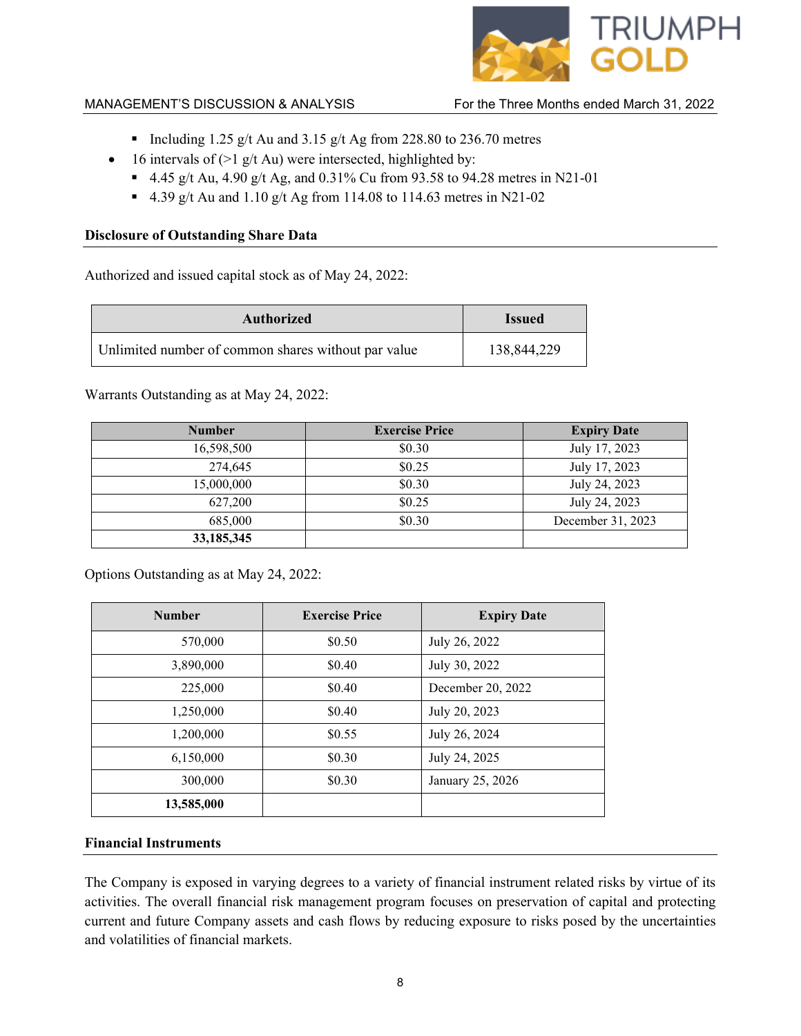

- Including 1.25 g/t Au and 3.15 g/t Ag from 228.80 to 236.70 metres
- 16 intervals of  $(>1 \text{ g/t}$  Au) were intersected, highlighted by:
	- 4.45 g/t Au, 4.90 g/t Ag, and 0.31% Cu from 93.58 to 94.28 metres in N21-01
	- 4.39 g/t Au and 1.10 g/t Ag from 114.08 to 114.63 metres in N21-02

## **Disclosure of Outstanding Share Data**

Authorized and issued capital stock as of May 24, 2022:

| <b>Authorized</b>                                   | <b>Issued</b> |
|-----------------------------------------------------|---------------|
| Unlimited number of common shares without par value | 138,844,229   |

Warrants Outstanding as at May 24, 2022:

| <b>Number</b> | <b>Exercise Price</b> | <b>Expiry Date</b> |
|---------------|-----------------------|--------------------|
| 16,598,500    | \$0.30                | July 17, 2023      |
| 274,645       | \$0.25                | July 17, 2023      |
| 15,000,000    | \$0.30                | July 24, 2023      |
| 627,200       | \$0.25                | July 24, 2023      |
| 685,000       | \$0.30                | December 31, 2023  |
| 33,185,345    |                       |                    |

Options Outstanding as at May 24, 2022:

| <b>Number</b> | <b>Exercise Price</b> | <b>Expiry Date</b> |
|---------------|-----------------------|--------------------|
| 570,000       | \$0.50                | July 26, 2022      |
| 3,890,000     | \$0.40                | July 30, 2022      |
| 225,000       | \$0.40                | December 20, 2022  |
| 1,250,000     | \$0.40                | July 20, 2023      |
| 1,200,000     | \$0.55                | July 26, 2024      |
| 6,150,000     | \$0.30                | July 24, 2025      |
| 300,000       | \$0.30                | January 25, 2026   |
| 13,585,000    |                       |                    |

# **Financial Instruments**

The Company is exposed in varying degrees to a variety of financial instrument related risks by virtue of its activities. The overall financial risk management program focuses on preservation of capital and protecting current and future Company assets and cash flows by reducing exposure to risks posed by the uncertainties and volatilities of financial markets.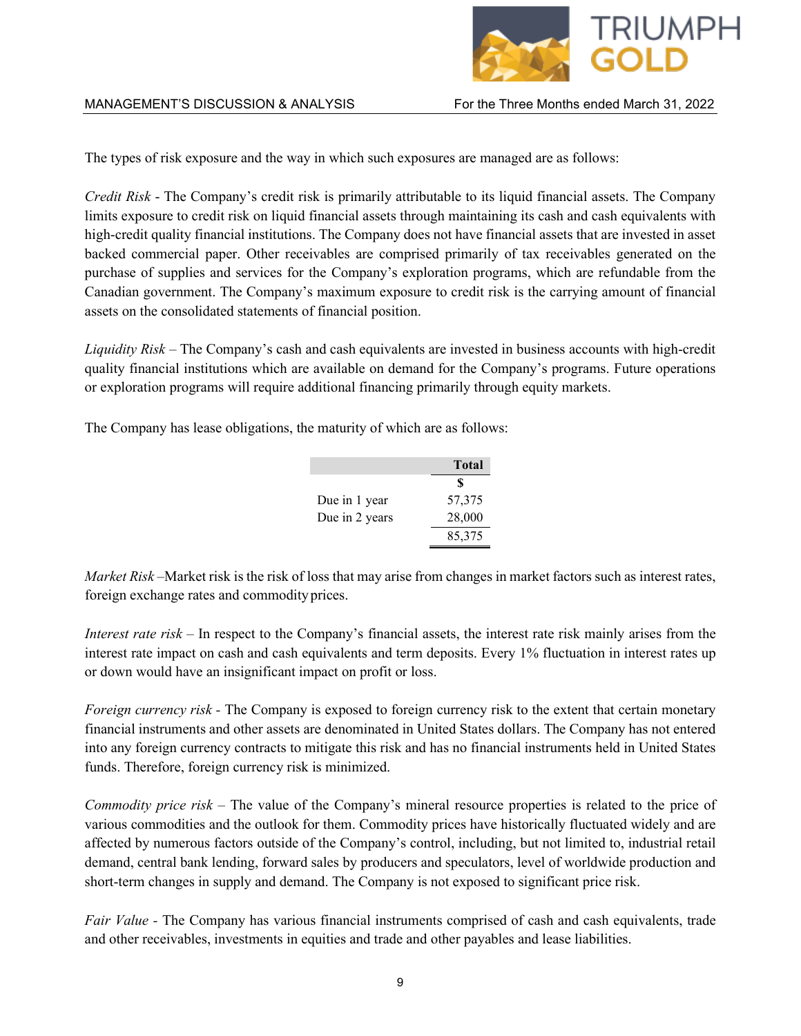

The types of risk exposure and the way in which such exposures are managed are as follows:

*Credit Risk* - The Company's credit risk is primarily attributable to its liquid financial assets. The Company limits exposure to credit risk on liquid financial assets through maintaining its cash and cash equivalents with high-credit quality financial institutions. The Company does not have financial assets that are invested in asset backed commercial paper. Other receivables are comprised primarily of tax receivables generated on the purchase of supplies and services for the Company's exploration programs, which are refundable from the Canadian government. The Company's maximum exposure to credit risk is the carrying amount of financial assets on the consolidated statements of financial position.

*Liquidity Risk –* The Company's cash and cash equivalents are invested in business accounts with high-credit quality financial institutions which are available on demand for the Company's programs. Future operations or exploration programs will require additional financing primarily through equity markets.

The Company has lease obligations, the maturity of which are as follows:

|                | Total  |
|----------------|--------|
|                | S      |
| Due in 1 year  | 57,375 |
| Due in 2 years | 28,000 |
|                | 85,375 |

*Market Risk –*Market risk is the risk of loss that may arise from changes in market factors such as interest rates, foreign exchange rates and commodityprices.

*Interest rate risk* – In respect to the Company's financial assets, the interest rate risk mainly arises from the interest rate impact on cash and cash equivalents and term deposits. Every 1% fluctuation in interest rates up or down would have an insignificant impact on profit or loss.

*Foreign currency risk -* The Company is exposed to foreign currency risk to the extent that certain monetary financial instruments and other assets are denominated in United States dollars. The Company has not entered into any foreign currency contracts to mitigate this risk and has no financial instruments held in United States funds. Therefore, foreign currency risk is minimized.

*Commodity price risk –* The value of the Company's mineral resource properties is related to the price of various commodities and the outlook for them. Commodity prices have historically fluctuated widely and are affected by numerous factors outside of the Company's control, including, but not limited to, industrial retail demand, central bank lending, forward sales by producers and speculators, level of worldwide production and short-term changes in supply and demand. The Company is not exposed to significant price risk.

*Fair Value -* The Company has various financial instruments comprised of cash and cash equivalents, trade and other receivables, investments in equities and trade and other payables and lease liabilities.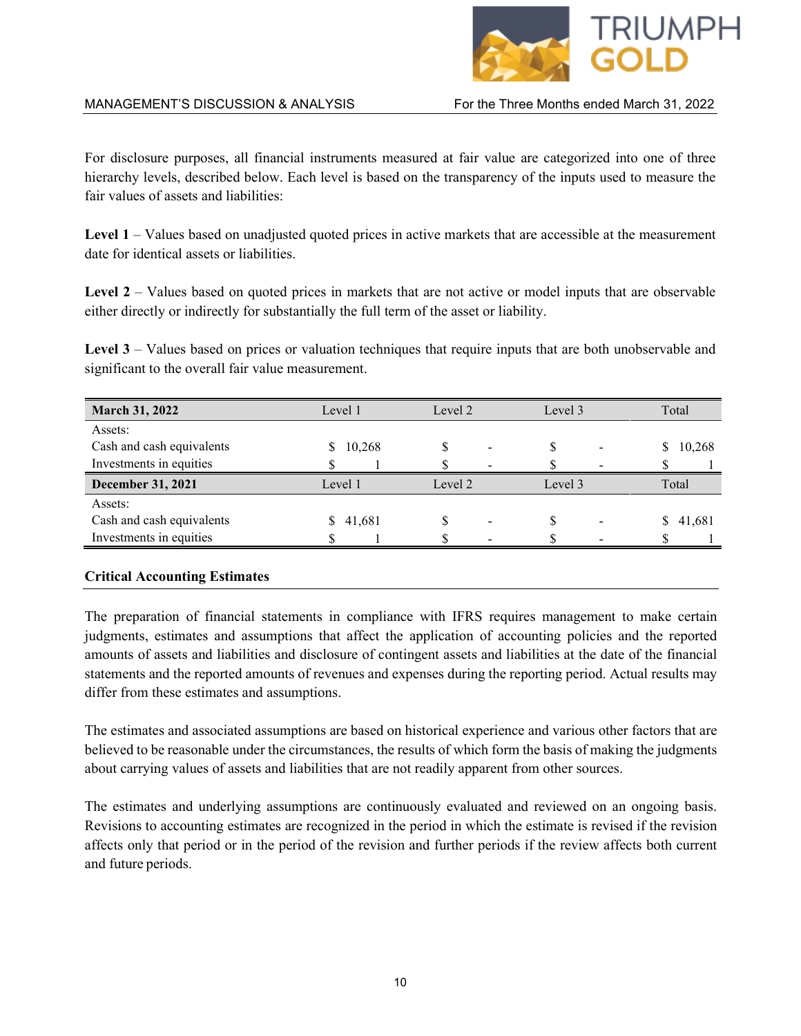

For disclosure purposes, all financial instruments measured at fair value are categorized into one of three hierarchy levels, described below. Each level is based on the transparency of the inputs used to measure the fair values of assets and liabilities:

Level 1 – Values based on unadjusted quoted prices in active markets that are accessible at the measurement date for identical assets or liabilities.

Level 2 – Values based on quoted prices in markets that are not active or model inputs that are observable either directly or indirectly for substantially the full term of the asset or liability.

Level  $3$  – Values based on prices or valuation techniques that require inputs that are both unobservable and significant to the overall fair value measurement.

|                          | Level 3                  | Total        |
|--------------------------|--------------------------|--------------|
|                          |                          |              |
|                          |                          | 10,268<br>S. |
| $\overline{\phantom{0}}$ | $\overline{\phantom{0}}$ |              |
| Level 2                  | Level 3                  | Total        |
|                          |                          |              |
| $\blacksquare$           |                          | 41,681       |
| $\overline{\phantom{0}}$ | $\blacksquare$           |              |
|                          |                          |              |

## **Critical Accounting Estimates**

The preparation of financial statements in compliance with IFRS requires management to make certain judgments, estimates and assumptions that affect the application of accounting policies and the reported amounts of assets and liabilities and disclosure of contingent assets and liabilities at the date of the financial statements and the reported amounts of revenues and expenses during the reporting period. Actual results may differ from these estimates and assumptions.

The estimates and associated assumptions are based on historical experience and various other factors that are believed to be reasonable under the circumstances, the results of which form the basis of making the judgments about carrying values of assets and liabilities that are not readily apparent from other sources.

The estimates and underlying assumptions are continuously evaluated and reviewed on an ongoing basis. Revisions to accounting estimates are recognized in the period in which the estimate is revised if the revision affects only that period or in the period of the revision and further periods if the review affects both current and future periods.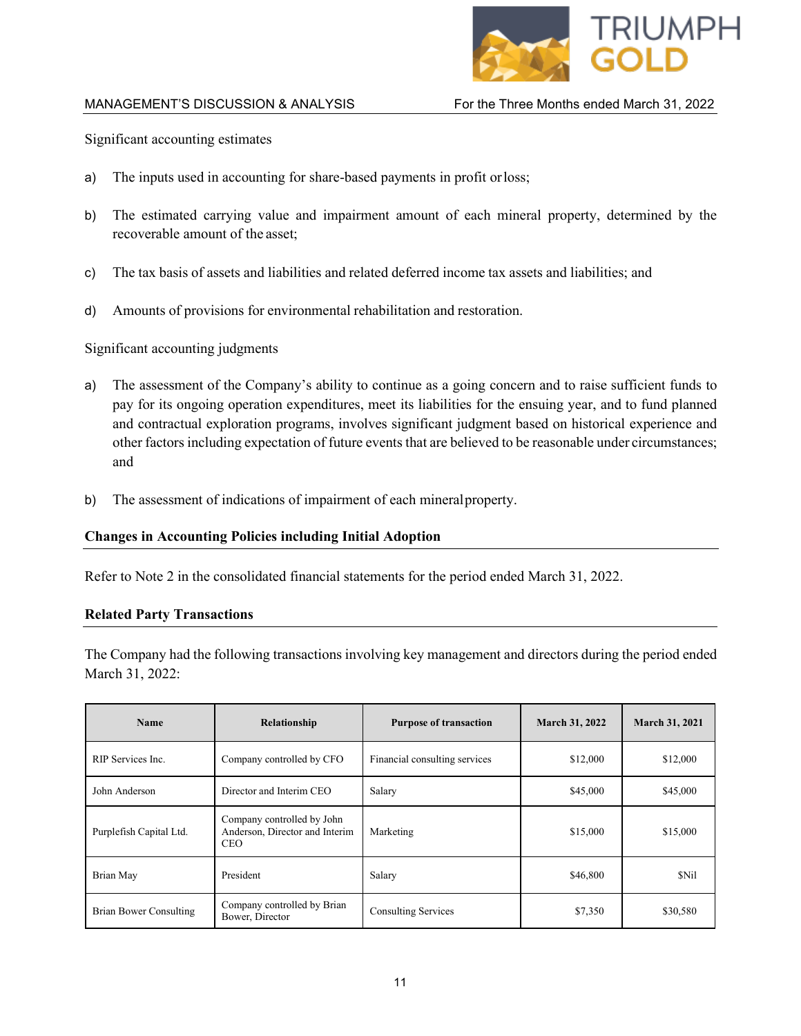

Significant accounting estimates

- a) The inputs used in accounting for share-based payments in profit orloss;
- b) The estimated carrying value and impairment amount of each mineral property, determined by the recoverable amount of the asset;
- c) The tax basis of assets and liabilities and related deferred income tax assets and liabilities; and
- d) Amounts of provisions for environmental rehabilitation and restoration.

Significant accounting judgments

- a) The assessment of the Company's ability to continue as a going concern and to raise sufficient funds to pay for its ongoing operation expenditures, meet its liabilities for the ensuing year, and to fund planned and contractual exploration programs, involves significant judgment based on historical experience and other factors including expectation of future events that are believed to be reasonable under circumstances; and
- b) The assessment of indications of impairment of each mineralproperty.

## **Changes in Accounting Policies including Initial Adoption**

Refer to Note 2 in the consolidated financial statements for the period ended March 31, 2022.

## **Related Party Transactions**

The Company had the following transactions involving key management and directors during the period ended March 31, 2022:

| <b>Name</b>             | Relationship                                                         | <b>Purpose of transaction</b> | <b>March 31, 2022</b> | <b>March 31, 2021</b> |
|-------------------------|----------------------------------------------------------------------|-------------------------------|-----------------------|-----------------------|
| RIP Services Inc.       | Company controlled by CFO                                            | Financial consulting services | \$12,000              | \$12,000              |
| John Anderson           | Director and Interim CEO                                             | Salary                        | \$45,000              | \$45,000              |
| Purplefish Capital Ltd. | Company controlled by John<br>Anderson, Director and Interim<br>CEO. | Marketing                     | \$15,000              | \$15,000              |
| Brian May               | President                                                            | Salary                        | \$46,800              | \$Nil                 |
| Brian Bower Consulting  | Company controlled by Brian<br>Bower, Director                       | <b>Consulting Services</b>    | \$7,350               | \$30,580              |